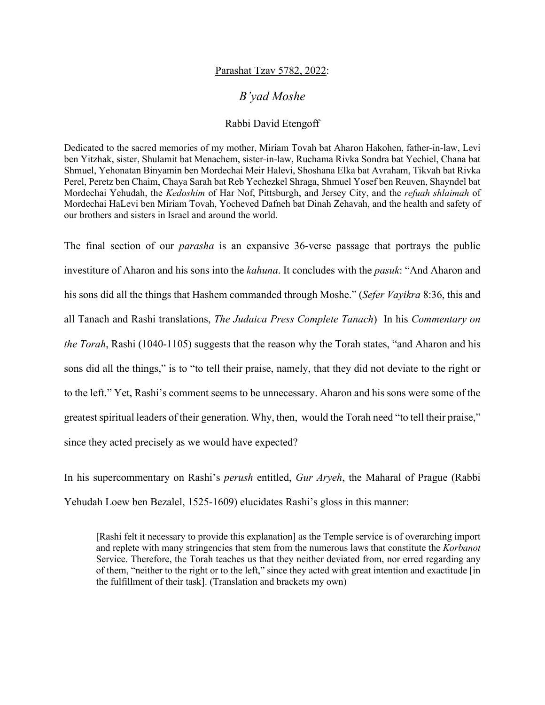## Parashat Tzav 5782, 2022:

## *B'yad Moshe*

## Rabbi David Etengoff

Dedicated to the sacred memories of my mother, Miriam Tovah bat Aharon Hakohen, father-in-law, Levi ben Yitzhak, sister, Shulamit bat Menachem, sister-in-law, Ruchama Rivka Sondra bat Yechiel, Chana bat Shmuel, Yehonatan Binyamin ben Mordechai Meir Halevi, Shoshana Elka bat Avraham, Tikvah bat Rivka Perel, Peretz ben Chaim, Chaya Sarah bat Reb Yechezkel Shraga, Shmuel Yosef ben Reuven, Shayndel bat Mordechai Yehudah, the *Kedoshim* of Har Nof, Pittsburgh, and Jersey City, and the *refuah shlaimah* of Mordechai HaLevi ben Miriam Tovah, Yocheved Dafneh bat Dinah Zehavah, and the health and safety of our brothers and sisters in Israel and around the world.

The final section of our *parasha* is an expansive 36-verse passage that portrays the public investiture of Aharon and his sons into the *kahuna*. It concludes with the *pasuk*: "And Aharon and his sons did all the things that Hashem commanded through Moshe." (*Sefer Vayikra* 8:36, this and all Tanach and Rashi translations, *The Judaica Press Complete Tanach*) In his *Commentary on the Torah*, Rashi (1040-1105) suggests that the reason why the Torah states, "and Aharon and his sons did all the things," is to "to tell their praise, namely, that they did not deviate to the right or to the left." Yet, Rashi's comment seems to be unnecessary. Aharon and his sons were some of the greatest spiritual leaders of their generation. Why, then, would the Torah need "to tell their praise," since they acted precisely as we would have expected?

In his supercommentary on Rashi's *perush* entitled, *Gur Aryeh*, the Maharal of Prague (Rabbi Yehudah Loew ben Bezalel, 1525-1609) elucidates Rashi's gloss in this manner:

[Rashi felt it necessary to provide this explanation] as the Temple service is of overarching import and replete with many stringencies that stem from the numerous laws that constitute the *Korbanot*  Service. Therefore, the Torah teaches us that they neither deviated from, nor erred regarding any of them, "neither to the right or to the left," since they acted with great intention and exactitude [in the fulfillment of their task]. (Translation and brackets my own)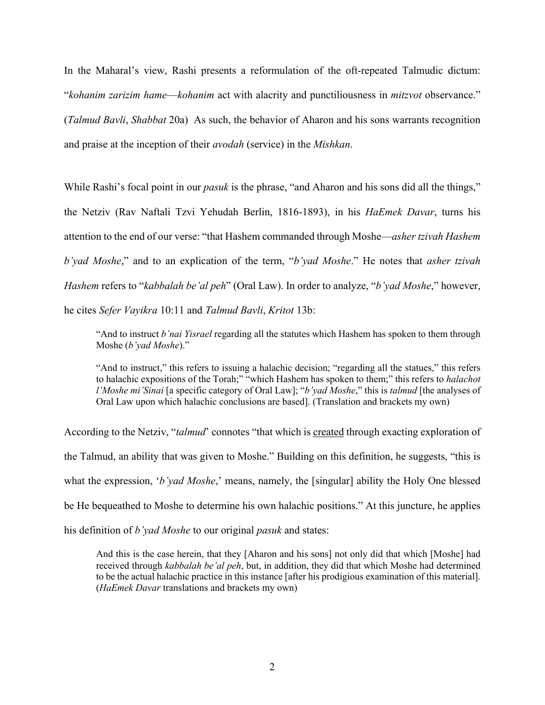In the Maharal's view, Rashi presents a reformulation of the oft-repeated Talmudic dictum: "*kohanim zarizim hame*—*kohanim* act with alacrity and punctiliousness in *mitzvot* observance." (*Talmud Bavli*, *Shabbat* 20a) As such, the behavior of Aharon and his sons warrants recognition and praise at the inception of their *avodah* (service) in the *Mishkan*.

While Rashi's focal point in our *pasuk* is the phrase, "and Aharon and his sons did all the things," the Netziv (Rav Naftali Tzvi Yehudah Berlin, 1816-1893), in his *HaEmek Davar*, turns his attention to the end of our verse: "that Hashem commanded through Moshe—*asher tzivah Hashem b'yad Moshe*," and to an explication of the term, "*b'yad Moshe*." He notes that *asher tzivah Hashem* refers to "*kabbalah be'al peh*" (Oral Law). In order to analyze, "*b'yad Moshe*," however, he cites *Sefer Vayikra* 10:11 and *Talmud Bavli*, *Kritot* 13b:

"And to instruct *b'nai Yisrael* regarding all the statutes which Hashem has spoken to them through Moshe (*b'yad Moshe*)."

"And to instruct," this refers to issuing a halachic decision; "regarding all the statues," this refers to halachic expositions of the Torah;" "which Hashem has spoken to them;" this refers to *halachot l'Moshe mi'Sinai* [a specific category of Oral Law]; "*b'yad Moshe*," this is *talmud* [the analyses of Oral Law upon which halachic conclusions are based]. (Translation and brackets my own)

According to the Netziv, "*talmud*' connotes "that which is created through exacting exploration of the Talmud, an ability that was given to Moshe." Building on this definition, he suggests, "this is what the expression, *'b'yad Moshe*,' means, namely, the [singular] ability the Holy One blessed be He bequeathed to Moshe to determine his own halachic positions." At this juncture, he applies his definition of *b'yad Moshe* to our original *pasuk* and states:

And this is the case herein, that they [Aharon and his sons] not only did that which [Moshe] had received through *kabbalah be'al peh*, but, in addition, they did that which Moshe had determined to be the actual halachic practice in this instance [after his prodigious examination of this material]. (*HaEmek Davar* translations and brackets my own)